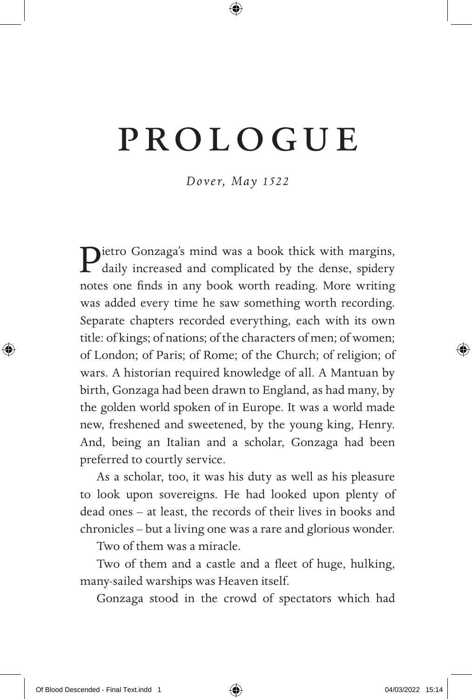## prologue

*Dover, May 1522*

Pietro Gonzaga's mind was a book thick with margins, daily increased and complicated by the dense, spidery notes one finds in any book worth reading. More writing was added every time he saw something worth recording. Separate chapters recorded everything, each with its own title: of kings; of nations; of the characters of men; of women; of London; of Paris; of Rome; of the Church; of religion; of wars. A historian required knowledge of all. A Mantuan by birth, Gonzaga had been drawn to England, as had many, by the golden world spoken of in Europe. It was a world made new, freshened and sweetened, by the young king, Henry. And, being an Italian and a scholar, Gonzaga had been preferred to courtly service.

As a scholar, too, it was his duty as well as his pleasure to look upon sovereigns. He had looked upon plenty of dead ones – at least, the records of their lives in books and chronicles – but a living one was a rare and glorious wonder.

Two of them was a miracle.

Two of them and a castle and a fleet of huge, hulking, many-sailed warships was Heaven itself.

Gonzaga stood in the crowd of spectators which had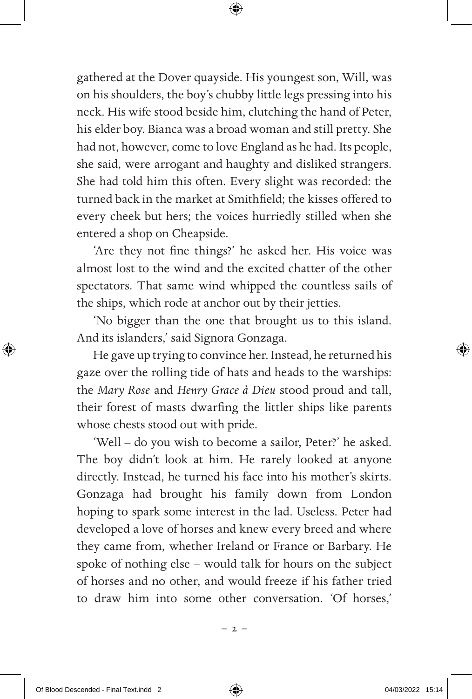gathered at the Dover quayside. His youngest son, Will, was on his shoulders, the boy's chubby little legs pressing into his neck. His wife stood beside him, clutching the hand of Peter, his elder boy. Bianca was a broad woman and still pretty. She had not, however, come to love England as he had. Its people, she said, were arrogant and haughty and disliked strangers. She had told him this often. Every slight was recorded: the turned back in the market at Smithfield; the kisses offered to every cheek but hers; the voices hurriedly stilled when she entered a shop on Cheapside.

'Are they not fine things?' he asked her. His voice was almost lost to the wind and the excited chatter of the other spectators. That same wind whipped the countless sails of the ships, which rode at anchor out by their jetties.

'No bigger than the one that brought us to this island. And its islanders,' said Signora Gonzaga.

He gave up trying to convince her. Instead, he returned his gaze over the rolling tide of hats and heads to the warships: the *Mary Rose* and *Henry Grace à Dieu* stood proud and tall, their forest of masts dwarfing the littler ships like parents whose chests stood out with pride.

'Well – do you wish to become a sailor, Peter?' he asked. The boy didn't look at him. He rarely looked at anyone directly. Instead, he turned his face into his mother's skirts. Gonzaga had brought his family down from London hoping to spark some interest in the lad. Useless. Peter had developed a love of horses and knew every breed and where they came from, whether Ireland or France or Barbary. He spoke of nothing else – would talk for hours on the subject of horses and no other, and would freeze if his father tried to draw him into some other conversation. 'Of horses,'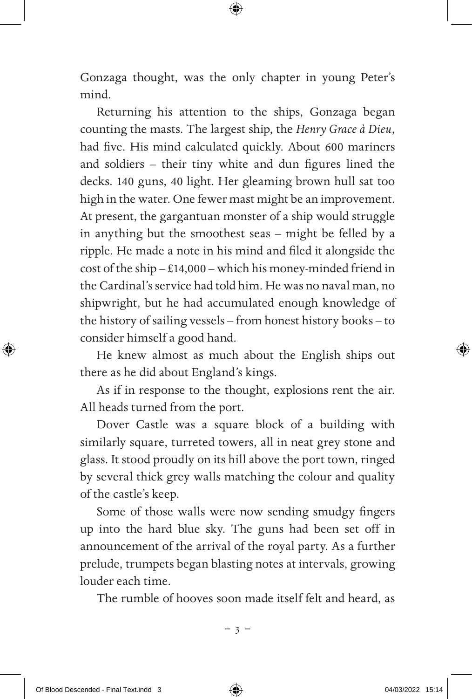Gonzaga thought, was the only chapter in young Peter's mind.

Returning his attention to the ships, Gonzaga began counting the masts. The largest ship, the *Henry Grace à Dieu*, had five. His mind calculated quickly. About 600 mariners and soldiers – their tiny white and dun figures lined the decks. 140 guns, 40 light. Her gleaming brown hull sat too high in the water. One fewer mast might be an improvement. At present, the gargantuan monster of a ship would struggle in anything but the smoothest seas – might be felled by a ripple. He made a note in his mind and filed it alongside the cost of the ship – £14,000 – which his money-minded friend in the Cardinal's service had told him. He was no naval man, no shipwright, but he had accumulated enough knowledge of the history of sailing vessels – from honest history books – to consider himself a good hand.

He knew almost as much about the English ships out there as he did about England's kings.

As if in response to the thought, explosions rent the air. All heads turned from the port.

Dover Castle was a square block of a building with similarly square, turreted towers, all in neat grey stone and glass. It stood proudly on its hill above the port town, ringed by several thick grey walls matching the colour and quality of the castle's keep.

Some of those walls were now sending smudgy fingers up into the hard blue sky. The guns had been set off in announcement of the arrival of the royal party. As a further prelude, trumpets began blasting notes at intervals, growing louder each time.

The rumble of hooves soon made itself felt and heard, as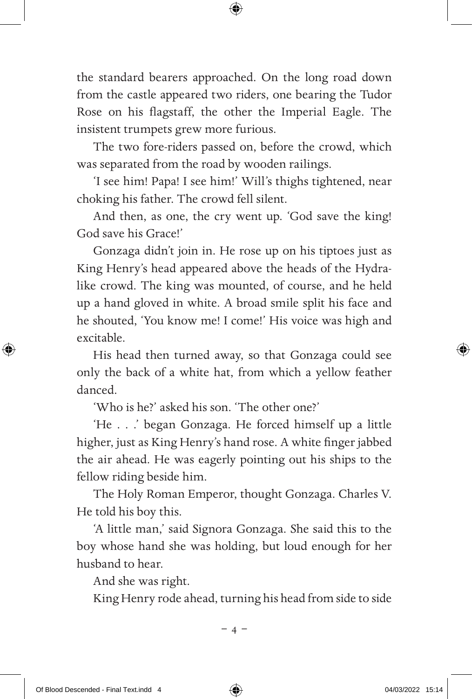the standard bearers approached. On the long road down from the castle appeared two riders, one bearing the Tudor Rose on his flagstaff, the other the Imperial Eagle. The insistent trumpets grew more furious.

The two fore-riders passed on, before the crowd, which was separated from the road by wooden railings.

'I see him! Papa! I see him!' Will's thighs tightened, near choking his father. The crowd fell silent.

And then, as one, the cry went up. 'God save the king! God save his Grace!'

Gonzaga didn't join in. He rose up on his tiptoes just as King Henry's head appeared above the heads of the Hydralike crowd. The king was mounted, of course, and he held up a hand gloved in white. A broad smile split his face and he shouted, 'You know me! I come!' His voice was high and excitable.

His head then turned away, so that Gonzaga could see only the back of a white hat, from which a yellow feather danced.

'Who is he?' asked his son. 'The other one?'

'He . . .' began Gonzaga. He forced himself up a little higher, just as King Henry's hand rose. A white finger jabbed the air ahead. He was eagerly pointing out his ships to the fellow riding beside him.

The Holy Roman Emperor, thought Gonzaga. Charles V. He told his boy this.

'A little man,' said Signora Gonzaga. She said this to the boy whose hand she was holding, but loud enough for her husband to hear.

And she was right.

King Henry rode ahead, turning his head from side to side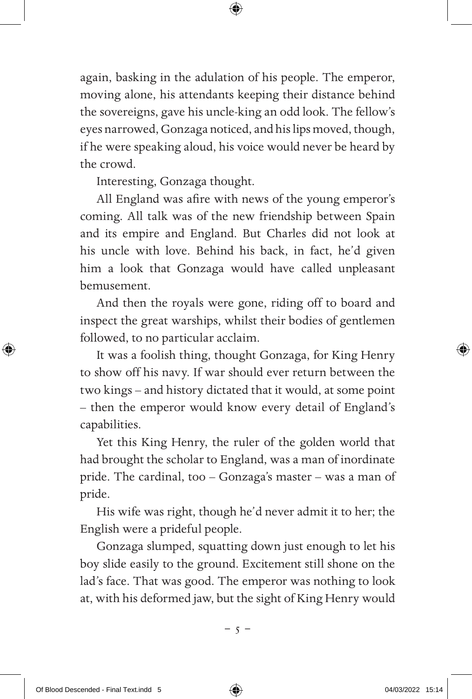again, basking in the adulation of his people. The emperor, moving alone, his attendants keeping their distance behind the sovereigns, gave his uncle-king an odd look. The fellow's eyes narrowed, Gonzaga noticed, and his lips moved, though, if he were speaking aloud, his voice would never be heard by the crowd.

Interesting, Gonzaga thought.

All England was afire with news of the young emperor's coming. All talk was of the new friendship between Spain and its empire and England. But Charles did not look at his uncle with love. Behind his back, in fact, he'd given him a look that Gonzaga would have called unpleasant bemusement.

And then the royals were gone, riding off to board and inspect the great warships, whilst their bodies of gentlemen followed, to no particular acclaim.

It was a foolish thing, thought Gonzaga, for King Henry to show off his navy. If war should ever return between the two kings – and history dictated that it would, at some point – then the emperor would know every detail of England's capabilities.

Yet this King Henry, the ruler of the golden world that had brought the scholar to England, was a man of inordinate pride. The cardinal, too – Gonzaga's master – was a man of pride.

His wife was right, though he'd never admit it to her; the English were a prideful people.

Gonzaga slumped, squatting down just enough to let his boy slide easily to the ground. Excitement still shone on the lad's face. That was good. The emperor was nothing to look at, with his deformed jaw, but the sight of King Henry would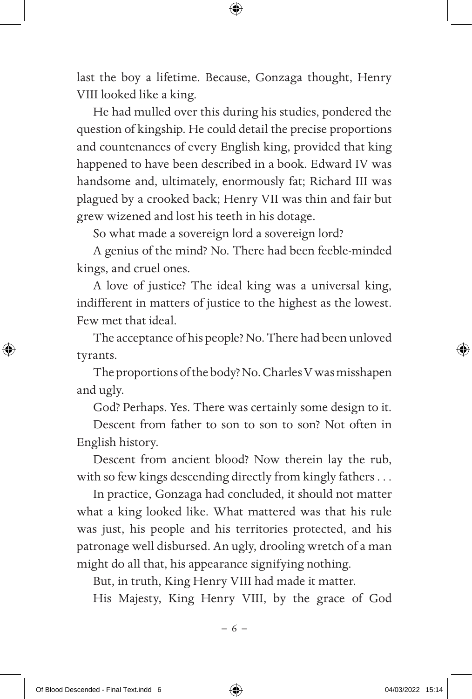last the boy a lifetime. Because, Gonzaga thought, Henry VIII looked like a king.

He had mulled over this during his studies, pondered the question of kingship. He could detail the precise proportions and countenances of every English king, provided that king happened to have been described in a book. Edward IV was handsome and, ultimately, enormously fat; Richard III was plagued by a crooked back; Henry VII was thin and fair but grew wizened and lost his teeth in his dotage.

So what made a sovereign lord a sovereign lord?

A genius of the mind? No. There had been feeble-minded kings, and cruel ones.

A love of justice? The ideal king was a universal king, indifferent in matters of justice to the highest as the lowest. Few met that ideal.

The acceptance of his people? No. There had been unloved tyrants.

The proportions of the body? No. Charles V was misshapen and ugly.

God? Perhaps. Yes. There was certainly some design to it.

Descent from father to son to son to son? Not often in English history.

Descent from ancient blood? Now therein lay the rub, with so few kings descending directly from kingly fathers . . .

In practice, Gonzaga had concluded, it should not matter what a king looked like. What mattered was that his rule was just, his people and his territories protected, and his patronage well disbursed. An ugly, drooling wretch of a man might do all that, his appearance signifying nothing.

But, in truth, King Henry VIII had made it matter.

His Majesty, King Henry VIII, by the grace of God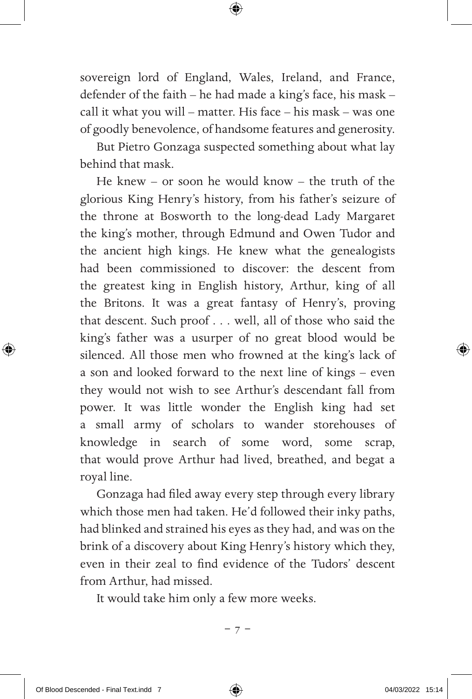sovereign lord of England, Wales, Ireland, and France, defender of the faith – he had made a king's face, his mask – call it what you will – matter. His face – his mask – was one of goodly benevolence, of handsome features and generosity.

But Pietro Gonzaga suspected something about what lay behind that mask.

He knew – or soon he would know – the truth of the glorious King Henry's history, from his father's seizure of the throne at Bosworth to the long-dead Lady Margaret the king's mother, through Edmund and Owen Tudor and the ancient high kings. He knew what the genealogists had been commissioned to discover: the descent from the greatest king in English history, Arthur, king of all the Britons. It was a great fantasy of Henry's, proving that descent. Such proof . . . well, all of those who said the king's father was a usurper of no great blood would be silenced. All those men who frowned at the king's lack of a son and looked forward to the next line of kings – even they would not wish to see Arthur's descendant fall from power. It was little wonder the English king had set a small army of scholars to wander storehouses of knowledge in search of some word, some scrap, that would prove Arthur had lived, breathed, and begat a royal line.

Gonzaga had filed away every step through every library which those men had taken. He'd followed their inky paths, had blinked and strained his eyes as they had, and was on the brink of a discovery about King Henry's history which they, even in their zeal to find evidence of the Tudors' descent from Arthur, had missed.

It would take him only a few more weeks.